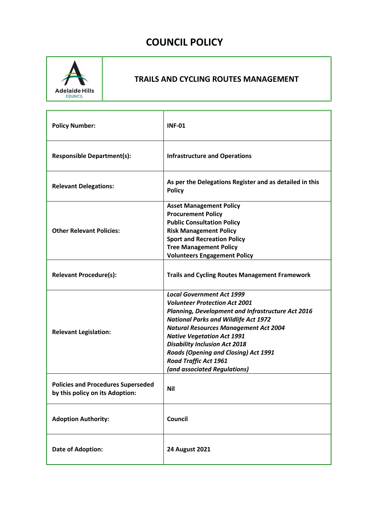# **COUNCIL POLICY**



# **TRAILS AND CYCLING ROUTES MANAGEMENT**

| <b>Policy Number:</b>                                                        | <b>INF-01</b>                                                                                                                                                                                                                                                                                                                                                                                                            |  |
|------------------------------------------------------------------------------|--------------------------------------------------------------------------------------------------------------------------------------------------------------------------------------------------------------------------------------------------------------------------------------------------------------------------------------------------------------------------------------------------------------------------|--|
| <b>Responsible Department(s):</b>                                            | <b>Infrastructure and Operations</b>                                                                                                                                                                                                                                                                                                                                                                                     |  |
| <b>Relevant Delegations:</b>                                                 | As per the Delegations Register and as detailed in this<br><b>Policy</b>                                                                                                                                                                                                                                                                                                                                                 |  |
| <b>Other Relevant Policies:</b>                                              | <b>Asset Management Policy</b><br><b>Procurement Policy</b><br><b>Public Consultation Policy</b><br><b>Risk Management Policy</b><br><b>Sport and Recreation Policy</b><br><b>Tree Management Policy</b><br><b>Volunteers Engagement Policy</b>                                                                                                                                                                          |  |
| <b>Relevant Procedure(s):</b>                                                | <b>Trails and Cycling Routes Management Framework</b>                                                                                                                                                                                                                                                                                                                                                                    |  |
| <b>Relevant Legislation:</b>                                                 | <b>Local Government Act 1999</b><br><b>Volunteer Protection Act 2001</b><br>Planning, Development and Infrastructure Act 2016<br><b>National Parks and Wildlife Act 1972</b><br><b>Natural Resources Management Act 2004</b><br><b>Native Vegetation Act 1991</b><br><b>Disability Inclusion Act 2018</b><br><b>Roads (Opening and Closing) Act 1991</b><br><b>Road Traffic Act 1961</b><br>(and associated Regulations) |  |
| <b>Policies and Procedures Superseded</b><br>by this policy on its Adoption: | <b>Nil</b>                                                                                                                                                                                                                                                                                                                                                                                                               |  |
| <b>Adoption Authority:</b>                                                   | Council                                                                                                                                                                                                                                                                                                                                                                                                                  |  |
| <b>Date of Adoption:</b>                                                     | <b>24 August 2021</b>                                                                                                                                                                                                                                                                                                                                                                                                    |  |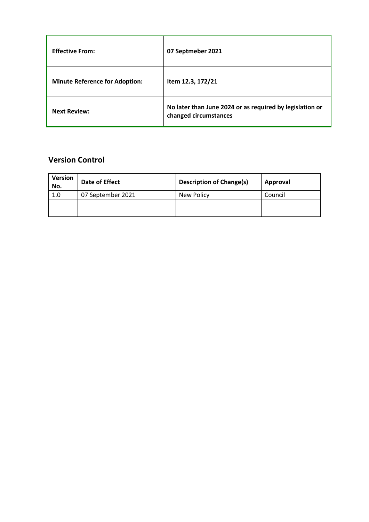| <b>Effective From:</b>                | 07 Septmeber 2021                                                                 |
|---------------------------------------|-----------------------------------------------------------------------------------|
| <b>Minute Reference for Adoption:</b> | Item 12.3, 172/21                                                                 |
| <b>Next Review:</b>                   | No later than June 2024 or as required by legislation or<br>changed circumstances |

# **Version Control**

| <b>Version</b><br>No. | Date of Effect    | <b>Description of Change(s)</b> | Approval |
|-----------------------|-------------------|---------------------------------|----------|
| 1.0                   | 07 September 2021 | <b>New Policy</b>               | Council  |
|                       |                   |                                 |          |
|                       |                   |                                 |          |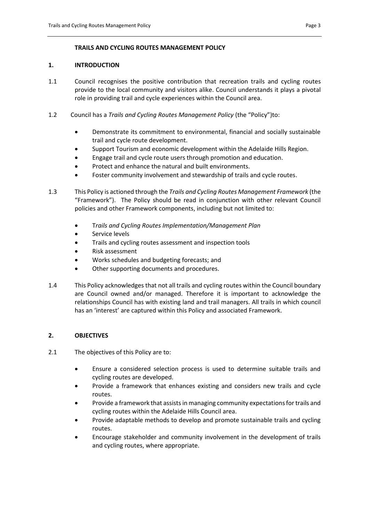### **TRAILS AND CYCLING ROUTES MANAGEMENT POLICY**

#### **1. INTRODUCTION**

- 1.1 Council recognises the positive contribution that recreation trails and cycling routes provide to the local community and visitors alike. Council understands it plays a pivotal role in providing trail and cycle experiences within the Council area.
- 1.2 Council has a *Trails and Cycling Routes Management Policy* (the "Policy")to:
	- Demonstrate its commitment to environmental, financial and socially sustainable trail and cycle route development.
	- Support Tourism and economic development within the Adelaide Hills Region.
	- Engage trail and cycle route users through promotion and education.
	- Protect and enhance the natural and built environments.
	- Foster community involvement and stewardship of trails and cycle routes.
- 1.3 This Policy is actioned through the *Trails and Cycling Routes Management Framework* (the "Framework"). The Policy should be read in conjunction with other relevant Council policies and other Framework components, including but not limited to:
	- T*rails and Cycling Routes Implementation/Management Plan*
	- **•** Service levels
	- Trails and cycling routes assessment and inspection tools
	- Risk assessment
	- Works schedules and budgeting forecasts; and
	- Other supporting documents and procedures.
- 1.4 This Policy acknowledges that not all trails and cycling routes within the Council boundary are Council owned and/or managed. Therefore it is important to acknowledge the relationships Council has with existing land and trail managers. All trails in which council has an 'interest' are captured within this Policy and associated Framework.

# **2. OBJECTIVES**

- 2.1 The objectives of this Policy are to:
	- Ensure a considered selection process is used to determine suitable trails and cycling routes are developed.
	- Provide a framework that enhances existing and considers new trails and cycle routes.
	- Provide a framework that assists in managing community expectations for trails and cycling routes within the Adelaide Hills Council area.
	- Provide adaptable methods to develop and promote sustainable trails and cycling routes.
	- Encourage stakeholder and community involvement in the development of trails and cycling routes, where appropriate.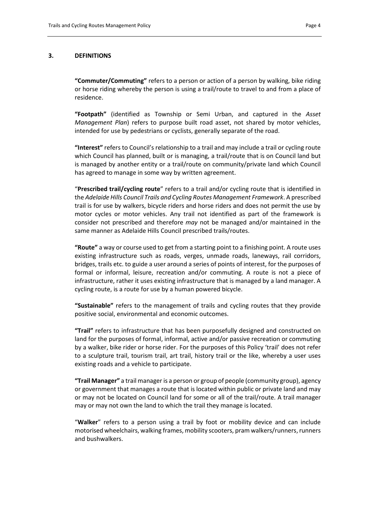#### **3. DEFINITIONS**

**"Commuter/Commuting"** refers to a person or action of a person by walking, bike riding or horse riding whereby the person is using a trail/route to travel to and from a place of residence.

**"Footpath"** (identified as Township or Semi Urban, and captured in the *Asset Management Plan*) refers to purpose built road asset, not shared by motor vehicles, intended for use by pedestrians or cyclists, generally separate of the road.

**"Interest"** refers to Council's relationship to a trail and may include a trail or cycling route which Council has planned, built or is managing, a trail/route that is on Council land but is managed by another entity or a trail/route on community/private land which Council has agreed to manage in some way by written agreement.

"**Prescribed trail/cycling route**" refers to a trail and/or cycling route that is identified in the *Adelaide Hills Council Trails and Cycling Routes Management Framework*. A prescribed trail is for use by walkers, bicycle riders and horse riders and does not permit the use by motor cycles or motor vehicles. Any trail not identified as part of the framework is consider not prescribed and therefore *may* not be managed and/or maintained in the same manner as Adelaide Hills Council prescribed trails/routes.

**"Route"** a way or course used to get from a starting point to a finishing point. A route uses existing infrastructure such as roads, verges, unmade roads, laneways, rail corridors, bridges, trails etc. to guide a user around a series of points of interest, for the purposes of formal or informal, leisure, recreation and/or commuting. A route is not a piece of infrastructure, rather it uses existing infrastructure that is managed by a land manager. A cycling route, is a route for use by a human powered bicycle.

**"Sustainable"** refers to the management of trails and cycling routes that they provide positive social, environmental and economic outcomes.

**"Trail"** refers to infrastructure that has been purposefully designed and constructed on land for the purposes of formal, informal, active and/or passive recreation or commuting by a walker, bike rider or horse rider. For the purposes of this Policy 'trail' does not refer to a sculpture trail, tourism trail, art trail, history trail or the like, whereby a user uses existing roads and a vehicle to participate.

**"Trail Manager"** a trail manager is a person or group of people (community group), agency or government that manages a route that is located within public or private land and may or may not be located on Council land for some or all of the trail/route. A trail manager may or may not own the land to which the trail they manage is located.

"**Walker**" refers to a person using a trail by foot or mobility device and can include motorised wheelchairs, walking frames, mobility scooters, pram walkers/runners, runners and bushwalkers.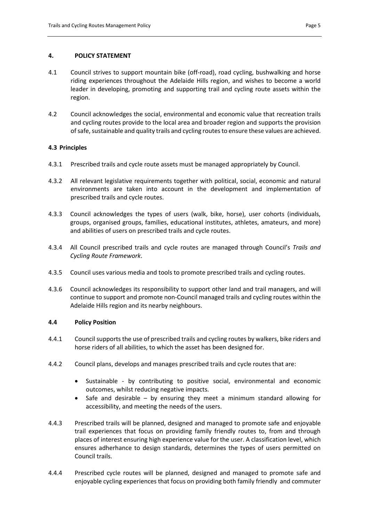### **4. POLICY STATEMENT**

- 4.1 Council strives to support mountain bike (off-road), road cycling, bushwalking and horse riding experiences throughout the Adelaide Hills region, and wishes to become a world leader in developing, promoting and supporting trail and cycling route assets within the region.
- 4.2 Council acknowledges the social, environmental and economic value that recreation trails and cycling routes provide to the local area and broader region and supports the provision of safe, sustainable and quality trails and cycling routes to ensure these values are achieved.

### **4.3 Principles**

- 4.3.1 Prescribed trails and cycle route assets must be managed appropriately by Council.
- 4.3.2 All relevant legislative requirements together with political, social, economic and natural environments are taken into account in the development and implementation of prescribed trails and cycle routes.
- 4.3.3 Council acknowledges the types of users (walk, bike, horse), user cohorts (individuals, groups, organised groups, families, educational institutes, athletes, amateurs, and more) and abilities of users on prescribed trails and cycle routes.
- 4.3.4 All Council prescribed trails and cycle routes are managed through Council's *Trails and Cycling Route Framework*.
- 4.3.5 Council uses various media and tools to promote prescribed trails and cycling routes.
- 4.3.6 Council acknowledges its responsibility to support other land and trail managers, and will continue to support and promote non-Council managed trails and cycling routes within the Adelaide Hills region and its nearby neighbours.

### **4.4 Policy Position**

- 4.4.1 Council supports the use of prescribed trails and cycling routes by walkers, bike riders and horse riders of all abilities, to which the asset has been designed for.
- 4.4.2 Council plans, develops and manages prescribed trails and cycle routes that are:
	- Sustainable by contributing to positive social, environmental and economic outcomes, whilst reducing negative impacts.
	- $\bullet$  Safe and desirable by ensuring they meet a minimum standard allowing for accessibility, and meeting the needs of the users.
- 4.4.3 Prescribed trails will be planned, designed and managed to promote safe and enjoyable trail experiences that focus on providing family friendly routes to, from and through places of interest ensuring high experience value for the user. A classification level, which ensures adherhance to design standards, determines the types of users permitted on Council trails.
- 4.4.4 Prescribed cycle routes will be planned, designed and managed to promote safe and enjoyable cycling experiences that focus on providing both family friendly and commuter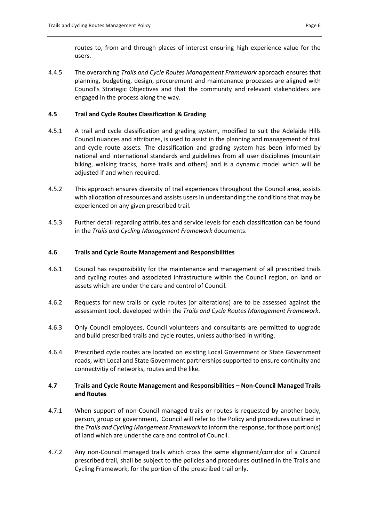routes to, from and through places of interest ensuring high experience value for the users.

4.4.5 The overarching *Trails and Cycle Routes Management Framework* approach ensures that planning, budgeting, design, procurement and maintenance processes are aligned with Council's Strategic Objectives and that the community and relevant stakeholders are engaged in the process along the way.

## **4.5 Trail and Cycle Routes Classification & Grading**

- 4.5.1 A trail and cycle classification and grading system, modified to suit the Adelaide Hills Council nuances and attributes, is used to assist in the planning and management of trail and cycle route assets. The classification and grading system has been informed by national and international standards and guidelines from all user disciplines (mountain biking, walking tracks, horse trails and others) and is a dynamic model which will be adjusted if and when required.
- 4.5.2 This approach ensures diversity of trail experiences throughout the Council area, assists with allocation of resources and assists users in understanding the conditions that may be experienced on any given prescribed trail.
- 4.5.3 Further detail regarding attributes and service levels for each classification can be found in the *Trails and Cycling Management Framework* documents.

### **4.6 Trails and Cycle Route Management and Responsibilities**

- 4.6.1 Council has responsibility for the maintenance and management of all prescribed trails and cycling routes and associated infrastructure within the Council region, on land or assets which are under the care and control of Council.
- 4.6.2 Requests for new trails or cycle routes (or alterations) are to be assessed against the assessment tool, developed within the *Trails and Cycle Routes Management Framework*.
- 4.6.3 Only Council employees, Council volunteers and consultants are permitted to upgrade and build prescribed trails and cycle routes, unless authorised in writing.
- 4.6.4 Prescribed cycle routes are located on existing Local Government or State Government roads, with Local and State Government partnerships supported to ensure continuity and connectvitiy of networks, routes and the like.

# **4.7 Trails and Cycle Route Management and Responsibilities – Non-Council Managed Trails and Routes**

- 4.7.1 When support of non-Council managed trails or routes is requested by another body, person, group or government, Council will refer to the Policy and procedures outlined in the *Trails and Cycling Mangement Framework* to inform the response, for those portion(s) of land which are under the care and control of Council.
- 4.7.2 Any non-Council managed trails which cross the same alignment/corridor of a Council prescribed trail, shall be subject to the policies and procedures outlined in the Trails and Cycling Framework, for the portion of the prescribed trail only.